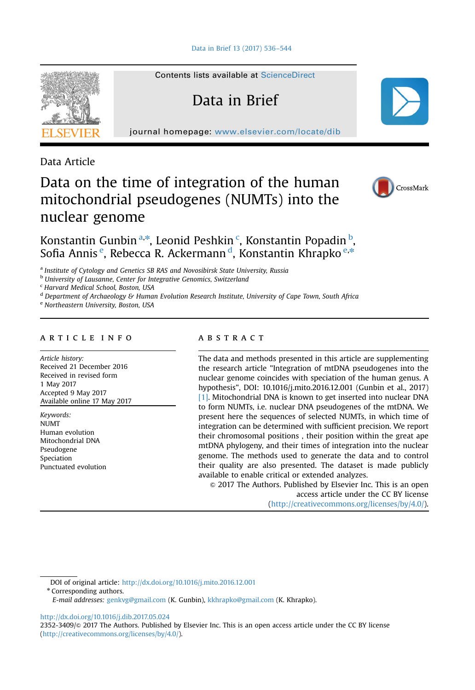

Contents lists available at [ScienceDirect](www.sciencedirect.com/science/journal/23523409)

# Data in Brief

journal homepage: <www.elsevier.com/locate/dib>

Data Article

# Data on the time of integration of the human mitochondrial pseudogenes (NUMTs) into the nuclear genome



# Konstantin Gunbin<sup>a,</sup>\*, Leonid Peshkin <sup>c</sup>, Konstantin Popadin <sup>b</sup>, Sofia Annis <sup>e</sup>, Rebecca R. Ackermann <sup>d</sup>, Konstantin Khrapko <sup>e,\*</sup>

<sup>a</sup> Institute of Cytology and Genetics SB RAS and Novosibirsk State University, Russia

**b** University of Lausanne, Center for Integrative Genomics, Switzerland

<sup>c</sup> Harvard Medical School, Boston, USA

<sup>d</sup> Department of Archaeology & Human Evolution Research Institute, University of Cape Town, South Africa

<sup>e</sup> Northeastern University, Boston, USA

#### article info

Article history: Received 21 December 2016 Received in revised form 1 May 2017 Accepted 9 May 2017 Available online 17 May 2017

Keywords: NUMT Human evolution Mitochondrial DNA Pseudogene Speciation Punctuated evolution

## **ABSTRACT**

The data and methods presented in this article are supplementing the research article "Integration of mtDNA pseudogenes into the nuclear genome coincides with speciation of the human genus. A hypothesis", DOI: 10.1016/j.mito.2016.12.001 (Gunbin et al., 2017) [\[1\]](#page-8-0). Mitochondrial DNA is known to get inserted into nuclear DNA to form NUMTs, i.e. nuclear DNA pseudogenes of the mtDNA. We present here the sequences of selected NUMTs, in which time of integration can be determined with sufficient precision. We report their chromosomal positions , their position within the great ape mtDNA phylogeny, and their times of integration into the nuclear genome. The methods used to generate the data and to control their quality are also presented. The dataset is made publicly available to enable critical or extended analyzes.

 $\odot$  2017 The Authors. Published by Elsevier Inc. This is an open access article under the CC BY license (http://creativecommons.org/licenses/by/4.0/).

DOI of original article: http://dx.doi.org/10.1016/j.mito.2016.12.001

\* Corresponding authors.

E-mail addresses: [genkvg@gmail.com](mailto:genkvg@gmail.com) (K. Gunbin), [kkhrapko@gmail.com](mailto:kkhrapko@gmail.com) (K. Khrapko).

<http://dx.doi.org/10.1016/j.dib.2017.05.024>

2352-3409/& 2017 The Authors. Published by Elsevier Inc. This is an open access article under the CC BY license (http://creativecommons.org/licenses/by/4.0/).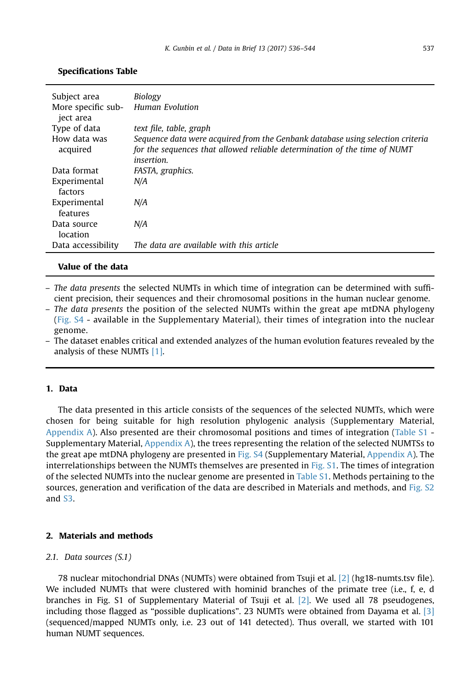| Subject area<br>More specific sub- | Biology<br><b>Human Evolution</b>                                                                                                                                                |
|------------------------------------|----------------------------------------------------------------------------------------------------------------------------------------------------------------------------------|
| ject area<br>Type of data          | text file, table, graph                                                                                                                                                          |
|                                    |                                                                                                                                                                                  |
| How data was<br>acquired           | Sequence data were acquired from the Genbank database using selection criteria<br>for the sequences that allowed reliable determination of the time of NUMT<br><i>insertion.</i> |
| Data format                        | FASTA, graphics.                                                                                                                                                                 |
| Experimental<br>factors            | N/A                                                                                                                                                                              |
| Experimental<br>features           | N/A                                                                                                                                                                              |
| Data source<br>location            | N/A                                                                                                                                                                              |
| Data accessibility                 | The data are available with this article                                                                                                                                         |

#### Specifications Table

#### Value of the data

– The data presents the selected NUMTs in which time of integration can be determined with sufficient precision, their sequences and their chromosomal positions in the human nuclear genome.

– The data presents the position of the selected NUMTs within the great ape mtDNA phylogeny (Fig. S4 - available in the Supplementary Material), their times of integration into the nuclear genome.

– The dataset enables critical and extended analyzes of the human evolution features revealed by the analysis of these NUMTs [\[1\]](#page-8-0).

# 1. Data

The data presented in this article consists of the sequences of the selected NUMTs, which were chosen for being suitable for high resolution phylogenic analysis (Supplementary Material, [Appendix A\)](#page-7-0). Also presented are their chromosomal positions and times of integration (Table S1 - Supplementary Material, [Appendix A](#page-7-0)), the trees representing the relation of the selected NUMTSs to the great ape mtDNA phylogeny are presented in Fig. S4 (Supplementary Material, [Appendix A\)](#page-7-0). The interrelationships between the NUMTs themselves are presented in [Fig. S1](#page-3-0). The times of integration of the selected NUMTs into the nuclear genome are presented in Table S1. Methods pertaining to the sources, generation and verification of the data are described in Materials and methods, and [Fig. S2](#page-5-0) and [S3.](#page-7-0)

#### 2. Materials and methods

## 2.1. Data sources (S.1)

78 nuclear mitochondrial DNAs (NUMTs) were obtained from Tsuji et al. [\[2\]](#page-8-0) (hg18-numts.tsv file). We included NUMTs that were clustered with hominid branches of the primate tree (i.e., f, e, d branches in Fig. S1 of Supplementary Material of Tsuji et al. [\[2\].](#page-8-0) We used all 78 pseudogenes, including those flagged as "possible duplications". 23 NUMTs were obtained from Dayama et al. [\[3\]](#page-8-0) (sequenced/mapped NUMTs only, i.e. 23 out of 141 detected). Thus overall, we started with 101 human NUMT sequences.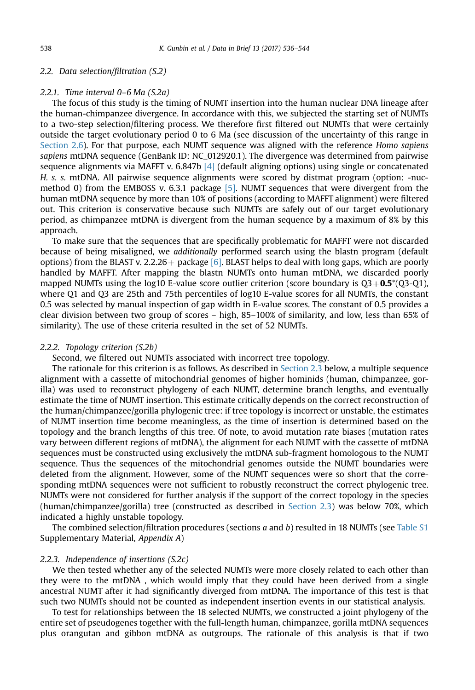#### 2.2. Data selection/filtration (S.2)

#### 2.2.1. Time interval 0–6 Ma (S.2a)

The focus of this study is the timing of NUMT insertion into the human nuclear DNA lineage after the human-chimpanzee divergence. In accordance with this, we subjected the starting set of NUMTs to a two-step selection/filtering process. We therefore first filtered out NUMTs that were certainly outside the target evolutionary period 0 to 6 Ma (see discussion of the uncertainty of this range in [Section 2.6\)](#page-6-0). For that purpose, each NUMT sequence was aligned with the reference Homo sapiens sapiens mtDNA sequence (GenBank ID: NC\_012920.1). The divergence was determined from pairwise sequence alignments via MAFFT v. 6.847b [\[4\]](#page-8-0) (default aligning options) using single or concatenated H. s. s. mtDNA. All pairwise sequence alignments were scored by distmat program (option: -nucmethod 0) from the EMBOSS v. 6.3.1 package  $[5]$ . NUMT sequences that were divergent from the human mtDNA sequence by more than 10% of positions (according to MAFFT alignment) were filtered out. This criterion is conservative because such NUMTs are safely out of our target evolutionary period, as chimpanzee mtDNA is divergent from the human sequence by a maximum of 8% by this approach.

To make sure that the sequences that are specifically problematic for MAFFT were not discarded because of being misaligned, we additionally performed search using the blastn program (default options) from the BLAST v. 2.2.26 + package  $[6]$ . BLAST helps to deal with long gaps, which are poorly handled by MAFFT. After mapping the blastn NUMTs onto human mtDNA, we discarded poorly mapped NUMTs using the log10 E-value score outlier criterion (score boundary is  $Q_3 + 0.5*(Q_3-Q_1)$ , where Q1 and Q3 are 25th and 75th percentiles of log10 E-value scores for all NUMTs, the constant 0.5 was selected by manual inspection of gap width in E-value scores. The constant of 0.5 provides a clear division between two group of scores – high, 85–100% of similarity, and low, less than 65% of similarity). The use of these criteria resulted in the set of 52 NUMTs.

#### 2.2.2. Topology criterion (S.2b)

Second, we filtered out NUMTs associated with incorrect tree topology.

The rationale for this criterion is as follows. As described in [Section 2.3](#page-4-0) below, a multiple sequence alignment with a cassette of mitochondrial genomes of higher hominids (human, chimpanzee, gorilla) was used to reconstruct phylogeny of each NUMT, determine branch lengths, and eventually estimate the time of NUMT insertion. This estimate critically depends on the correct reconstruction of the human/chimpanzee/gorilla phylogenic tree: if tree topology is incorrect or unstable, the estimates of NUMT insertion time become meaningless, as the time of insertion is determined based on the topology and the branch lengths of this tree. Of note, to avoid mutation rate biases (mutation rates vary between different regions of mtDNA), the alignment for each NUMT with the cassette of mtDNA sequences must be constructed using exclusively the mtDNA sub-fragment homologous to the NUMT sequence. Thus the sequences of the mitochondrial genomes outside the NUMT boundaries were deleted from the alignment. However, some of the NUMT sequences were so short that the corresponding mtDNA sequences were not sufficient to robustly reconstruct the correct phylogenic tree. NUMTs were not considered for further analysis if the support of the correct topology in the species (human/chimpanzee/gorilla) tree (constructed as described in [Section 2.3\)](#page-4-0) was below 70%, which indicated a highly unstable topology.

The combined selection/filtration procedures (sections  $a$  and  $b$ ) resulted in 18 NUMTs (see Table S1 Supplementary Material, Appendix A)

#### 2.2.3. Independence of insertions (S.2c)

We then tested whether any of the selected NUMTs were more closely related to each other than they were to the mtDNA , which would imply that they could have been derived from a single ancestral NUMT after it had significantly diverged from mtDNA. The importance of this test is that such two NUMTs should not be counted as independent insertion events in our statistical analysis.

To test for relationships between the 18 selected NUMTs, we constructed a joint phylogeny of the entire set of pseudogenes together with the full-length human, chimpanzee, gorilla mtDNA sequences plus orangutan and gibbon mtDNA as outgroups. The rationale of this analysis is that if two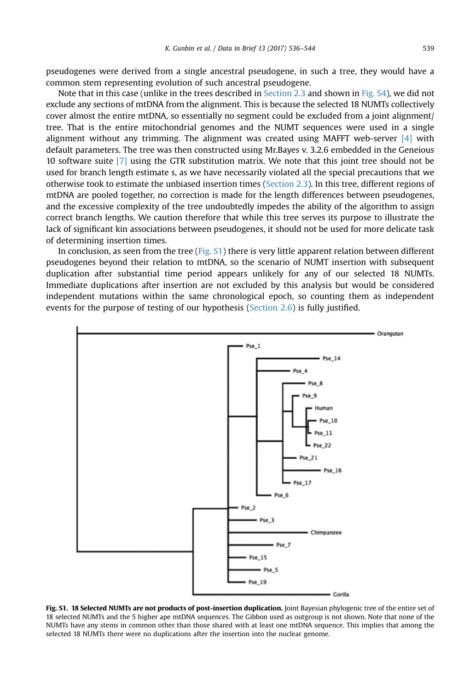<span id="page-3-0"></span>pseudogenes were derived from a single ancestral pseudogene, in such a tree, they would have a common stem representing evolution of such ancestral pseudogene.

Note that in this case (unlike in the trees described in [Section 2.3](#page-4-0) and shown in Fig. S4), we did not exclude any sections of mtDNA from the alignment. This is because the selected 18 NUMTs collectively cover almost the entire mtDNA, so essentially no segment could be excluded from a joint alignment/ tree. That is the entire mitochondrial genomes and the NUMT sequences were used in a single alignment without any trimming. The alignment was created using MAFFT web-server  $[4]$  with default parameters. The tree was then constructed using Mr.Bayes v. 3.2.6 embedded in the Geneious 10 software suite [\[7\]](#page-8-0) using the GTR substitution matrix. We note that this joint tree should not be used for branch length estimate s, as we have necessarily violated all the special precautions that we otherwise took to estimate the unbiased insertion times [\(Section 2.3](#page-4-0)). In this tree, different regions of mtDNA are pooled together, no correction is made for the length differences between pseudogenes, and the excessive complexity of the tree undoubtedly impedes the ability of the algorithm to assign correct branch lengths. We caution therefore that while this tree serves its purpose to illustrate the lack of significant kin associations between pseudogenes, it should not be used for more delicate task of determining insertion times.

In conclusion, as seen from the tree ( $Fig. S1$ ) there is very little apparent relation between different pseudogenes beyond their relation to mtDNA, so the scenario of NUMT insertion with subsequent duplication after substantial time period appears unlikely for any of our selected 18 NUMTs. Immediate duplications after insertion are not excluded by this analysis but would be considered independent mutations within the same chronological epoch, so counting them as independent events for the purpose of testing of our hypothesis [\(Section 2.6\)](#page-6-0) is fully justified.



Fig. S1. 18 Selected NUMTs are not products of post-insertion duplication. Joint Bayesian phylogenic tree of the entire set of 18 selected NUMTs and the 5 higher ape mtDNA sequences. The Gibbon used as outgroup is not shown. Note that none of the NUMTs have any stems in common other than those shared with at least one mtDNA sequence. This implies that among the selected 18 NUMTs there were no duplications after the insertion into the nuclear genome.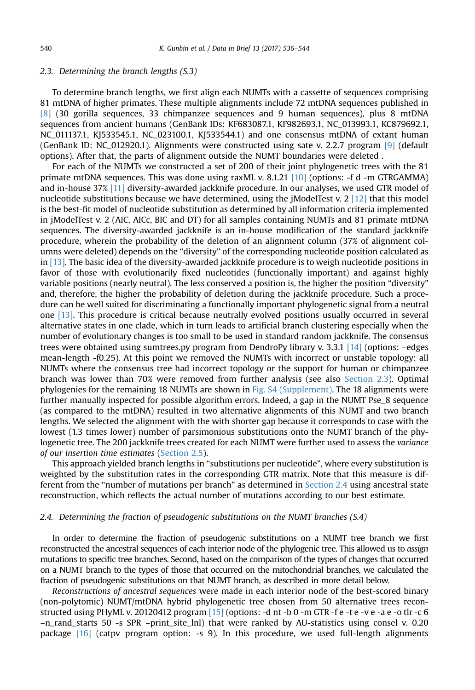## <span id="page-4-0"></span>2.3. Determining the branch lengths (S.3)

To determine branch lengths, we first align each NUMTs with a cassette of sequences comprising 81 mtDNA of higher primates. These multiple alignments include 72 mtDNA sequences published in [\[8\]](#page-8-0) (30 gorilla sequences, 33 chimpanzee sequences and 9 human sequences), plus 8 mtDNA sequences from ancient humans (GenBank IDs: KF683087.1, KF982693.1, NC\_013993.1, KC879692.1, NC\_011137.1, KJ533545.1, NC\_023100.1, KJ533544.1) and one consensus mtDNA of extant human (GenBank ID: NC\_012920.1). Alignments were constructed using sate v. 2.2.7 program [\[9\]](#page-8-0) (default options). After that, the parts of alignment outside the NUMT boundaries were deleted .

For each of the NUMTs we constructed a set of 200 of their joint phylogenetic trees with the 81 primate mtDNA sequences. This was done using raxML v. 8.1.21 [\[10\]](#page-8-0) (options: -f d -m GTRGAMMA) and in-house 37% [\[11\]](#page-8-0) diversity-awarded jackknife procedure. In our analyses, we used GTR model of nucleotide substitutions because we have determined, using the jModelTest v. 2 [\[12\]](#page-8-0) that this model is the best-fit model of nucleotide substitution as determined by all information criteria implemented in jModelTest v. 2 (AIC, AICc, BIC and DT) for all samples containing NUMTs and 81 primate mtDNA sequences. The diversity-awarded jackknife is an in-house modification of the standard jackknife procedure, wherein the probability of the deletion of an alignment column (37% of alignment columns were deleted) depends on the "diversity" of the corresponding nucleotide position calculated as in [\[13\].](#page-8-0) The basic idea of the diversity-awarded jackknife procedure is to weigh nucleotide positions in favor of those with evolutionarily fixed nucleotides (functionally important) and against highly variable positions (nearly neutral). The less conserved a position is, the higher the position "diversity" and, therefore, the higher the probability of deletion during the jackknife procedure. Such a procedure can be well suited for discriminating a functionally important phylogenetic signal from a neutral one [\[13\].](#page-8-0) This procedure is critical because neutrally evolved positions usually occurred in several alternative states in one clade, which in turn leads to artificial branch clustering especially when the number of evolutionary changes is too small to be used in standard random jackknife. The consensus trees were obtained using sumtrees.py program from DendroPy library v. 3.3.1 [\[14\]](#page-8-0) (options: –edges mean-length -f0.25). At this point we removed the NUMTs with incorrect or unstable topology: all NUMTs where the consensus tree had incorrect topology or the support for human or chimpanzee branch was lower than 70% were removed from further analysis (see also Section 2.3). Optimal phylogenies for the remaining 18 NUMTs are shown in Fig. S4 (Supplement). The 18 alignments were further manually inspected for possible algorithm errors. Indeed, a gap in the NUMT Pse\_8 sequence (as compared to the mtDNA) resulted in two alternative alignments of this NUMT and two branch lengths. We selected the alignment with the with shorter gap because it corresponds to case with the lowest (1.3 times lower) number of parsimonious substitutions onto the NUMT branch of the phylogenetic tree. The 200 jackknife trees created for each NUMT were further used to assess the variance of our insertion time estimates [\(Section 2.5](#page-6-0)).

This approach yielded branch lengths in "substitutions per nucleotide", where every substitution is weighted by the substitution rates in the corresponding GTR matrix. Note that this measure is different from the "number of mutations per branch" as determined in Section 2.4 using ancestral state reconstruction, which reflects the actual number of mutations according to our best estimate.

#### 2.4. Determining the fraction of pseudogenic substitutions on the NUMT branches (S.4)

In order to determine the fraction of pseudogenic substitutions on a NUMT tree branch we first reconstructed the ancestral sequences of each interior node of the phylogenic tree. This allowed us to assign mutations to specific tree branches. Second, based on the comparison of the types of changes that occurred on a NUMT branch to the types of those that occurred on the mitochondrial branches, we calculated the fraction of pseudogenic substitutions on that NUMT branch, as described in more detail below.

Reconstructions of ancestral sequences were made in each interior node of the best-scored binary (non-polytomic) NUMT/mtDNA hybrid phylogenetic tree chosen from 50 alternative trees reconstructed using PHyML v. 20120412 program  $[15]$  (options: -d nt -b 0 -m GTR -f e -t e -v e -a e -o tlr -c 6 –n\_rand\_starts 50 -s SPR –print\_site\_lnl) that were ranked by AU-statistics using consel v. 0.20 package [\[16\]](#page-8-0) (catpv program option: -s 9). In this procedure, we used full-length alignments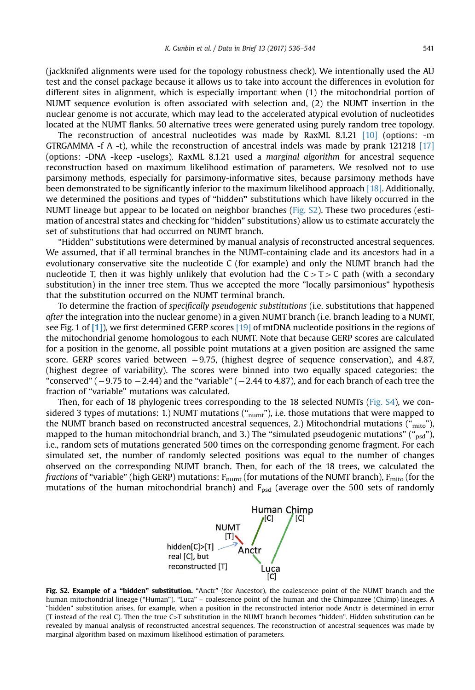<span id="page-5-0"></span>(jackknifed alignments were used for the topology robustness check). We intentionally used the AU test and the consel package because it allows us to take into account the differences in evolution for different sites in alignment, which is especially important when (1) the mitochondrial portion of NUMT sequence evolution is often associated with selection and, (2) the NUMT insertion in the nuclear genome is not accurate, which may lead to the accelerated atypical evolution of nucleotides located at the NUMT flanks. 50 alternative trees were generated using purely random tree topology.

The reconstruction of ancestral nucleotides was made by RaxML 8.1.21 [\[10\]](#page-8-0) (options: -m GTRGAMMA -f A -t), while the reconstruction of ancestral indels was made by prank 121218  $[17]$ (options: -DNA -keep -uselogs). RaxML 8.1.21 used a marginal algorithm for ancestral sequence reconstruction based on maximum likelihood estimation of parameters. We resolved not to use parsimony methods, especially for parsimony-informative sites, because parsimony methods have been demonstrated to be significantly inferior to the maximum likelihood approach [\[18\]](#page-8-0). Additionally, we determined the positions and types of "hidden" substitutions which have likely occurred in the NUMT lineage but appear to be located on neighbor branches (Fig. S2). These two procedures (estimation of ancestral states and checking for "hidden" substitutions) allow us to estimate accurately the set of substitutions that had occurred on NUMT branch.

"Hidden" substitutions were determined by manual analysis of reconstructed ancestral sequences. We assumed, that if all terminal branches in the NUMT-containing clade and its ancestors had in a evolutionary conservative site the nucleotide C (for example) and only the NUMT branch had the nucleotide T, then it was highly unlikely that evolution had the  $C > T > C$  path (with a secondary substitution) in the inner tree stem. Thus we accepted the more "locally parsimonious" hypothesis that the substitution occurred on the NUMT terminal branch.

To determine the fraction of specifically pseudogenic substitutions (i.e. substitutions that happened after the integration into the nuclear genome) in a given NUMT branch (i.e. branch leading to a NUMT, see Fig. 1 of [\[1\]](#page-8-0)), we first determined GERP scores [\[19\]](#page-8-0) of mtDNA nucleotide positions in the regions of the mitochondrial genome homologous to each NUMT. Note that because GERP scores are calculated for a position in the genome, all possible point mutations at a given position are assigned the same score. GERP scores varied between  $-9.75$ , (highest degree of sequence conservation), and 4.87, (highest degree of variability). The scores were binned into two equally spaced categories: the "conserved"  $(-9.75$  to  $-2.44$ ) and the "variable"  $(-2.44$  to  $4.87)$ , and for each branch of each tree the fraction of "variable" mutations was calculated.

Then, for each of 18 phylogenic trees corresponding to the 18 selected NUMTs (Fig. S4), we considered 3 types of mutations: 1.) NUMT mutations ("numt"), i.e. those mutations that were mapped to the NUMT branch based on reconstructed ancestral sequences, 2.) Mitochondrial mutations ( $\binom{4}{\text{mito}}$ ), mapped to the human mitochondrial branch, and 3.) The "simulated pseudogenic mutations" ( $\binom{6}{3}$ , i.e., random sets of mutations generated 500 times on the corresponding genome fragment. For each simulated set, the number of randomly selected positions was equal to the number of changes observed on the corresponding NUMT branch. Then, for each of the 18 trees, we calculated the *fractions* of "variable" (high GERP) mutations:  $F_{numt}$  (for mutations of the NUMT branch),  $F_{mito}$  (for the mutations of the human mitochondrial branch) and  $F_{psd}$  (average over the 500 sets of randomly



Fig. S2. Example of a "hidden" substitution. "Anctr" (for Ancestor), the coalescence point of the NUMT branch and the human mitochondrial lineage ("Human"). "Luca" – coalescence point of the human and the Chimpanzee (Chimp) lineages. A "hidden" substitution arises, for example, when a position in the reconstructed interior node Anctr is determined in error (T instead of the real C). Then the true C>T substitution in the NUMT branch becomes "hidden". Hidden substitution can be revealed by manual analysis of reconstructed ancestral sequences. The reconstruction of ancestral sequences was made by marginal algorithm based on maximum likelihood estimation of parameters.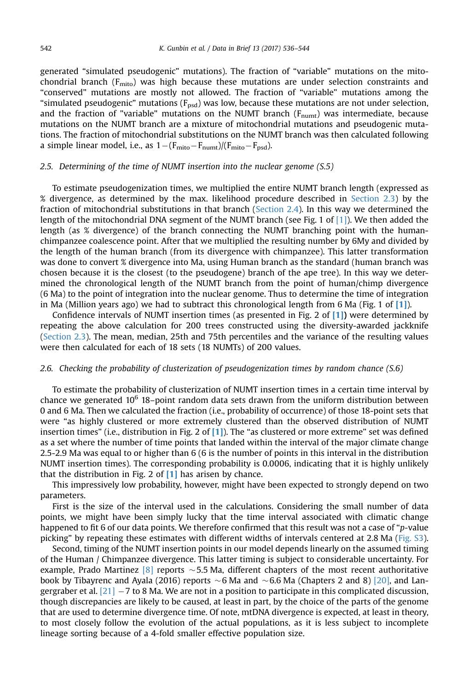<span id="page-6-0"></span>generated "simulated pseudogenic" mutations). The fraction of "variable" mutations on the mitochondrial branch (F<sub>mito</sub>) was high because these mutations are under selection constraints and "conserved" mutations are mostly not allowed. The fraction of "variable" mutations among the "simulated pseudogenic" mutations ( $F_{psd}$ ) was low, because these mutations are not under selection, and the fraction of "variable" mutations on the NUMT branch  $(F_{\text{numt}})$  was intermediate, because mutations on the NUMT branch are a mixture of mitochondrial mutations and pseudogenic mutations. The fraction of mitochondrial substitutions on the NUMT branch was then calculated following a simple linear model, i.e., as  $1 - (F_{\text{mito}} - F_{\text{numt}})/(F_{\text{mito}} - F_{\text{psd}})$ .

#### 2.5. Determining of the time of NUMT insertion into the nuclear genome (S.5)

To estimate pseudogenization times, we multiplied the entire NUMT branch length (expressed as % divergence, as determined by the max. likelihood procedure described in [Section 2.3](#page-4-0)) by the fraction of mitochondrial substitutions in that branch [\(Section 2.4](#page-4-0)). In this way we determined the length of the mitochondrial DNA segment of the NUMT branch (see Fig. 1 of [\[1\]\)](#page-8-0). We then added the length (as % divergence) of the branch connecting the NUMT branching point with the humanchimpanzee coalescence point. After that we multiplied the resulting number by 6My and divided by the length of the human branch (from its divergence with chimpanzee). This latter transformation was done to convert % divergence into Ma, using Human branch as the standard (human branch was chosen because it is the closest (to the pseudogene) branch of the ape tree). In this way we determined the chronological length of the NUMT branch from the point of human/chimp divergence (6 Ma) to the point of integration into the nuclear genome. Thus to determine the time of integration in Ma (Million years ago) we had to subtract this chronological length from 6 Ma (Fig. 1 of [\[1\]](#page-8-0)).

Confidence intervals of NUMT insertion times (as presented in Fig. 2 of [\[1\]\)](#page-8-0) were determined by repeating the above calculation for 200 trees constructed using the diversity-awarded jackknife ([Section 2.3\)](#page-4-0). The mean, median, 25th and 75th percentiles and the variance of the resulting values were then calculated for each of 18 sets (18 NUMTs) of 200 values.

#### 2.6. Checking the probability of clusterization of pseudogenization times by random chance (S.6)

To estimate the probability of clusterization of NUMT insertion times in a certain time interval by chance we generated  $10^6$  18–point random data sets drawn from the uniform distribution between 0 and 6 Ma. Then we calculated the fraction (i.e., probability of occurrence) of those 18-point sets that were "as highly clustered or more extremely clustered than the observed distribution of NUMT insertion times" (i.e., distribution in Fig. 2 of  $[1]$ ). The "as clustered or more extreme" set was defined as a set where the number of time points that landed within the interval of the major climate change 2.5-2.9 Ma was equal to or higher than 6 (6 is the number of points in this interval in the distribution NUMT insertion times). The corresponding probability is 0.0006, indicating that it is highly unlikely that the distribution in Fig. 2 of  $[1]$  has arisen by chance.

This impressively low probability, however, might have been expected to strongly depend on two parameters.

First is the size of the interval used in the calculations. Considering the small number of data points, we might have been simply lucky that the time interval associated with climatic change happened to fit 6 of our data points. We therefore confirmed that this result was not a case of "p-value" picking" by repeating these estimates with different widths of intervals centered at 2.8 Ma ([Fig. S3](#page-7-0)).

Second, timing of the NUMT insertion points in our model depends linearly on the assumed timing of the Human / Chimpanzee divergence. This latter timing is subject to considerable uncertainty. For example, Prado Martinez [\[8\]](#page-8-0) reports  $\sim$  5.5 Ma, different chapters of the most recent authoritative book by Tibayrenc and Ayala (2016) reports  $\sim$  6 Ma and  $\sim$  6.6 Ma (Chapters 2 and 8) [\[20\],](#page-8-0) and Langergraber et al.  $[21] - 7$  $[21] - 7$  to 8 Ma. We are not in a position to participate in this complicated discussion, though discrepancies are likely to be caused, at least in part, by the choice of the parts of the genome that are used to determine divergence time. Of note, mtDNA divergence is expected, at least in theory, to most closely follow the evolution of the actual populations, as it is less subject to incomplete lineage sorting because of a 4-fold smaller effective population size.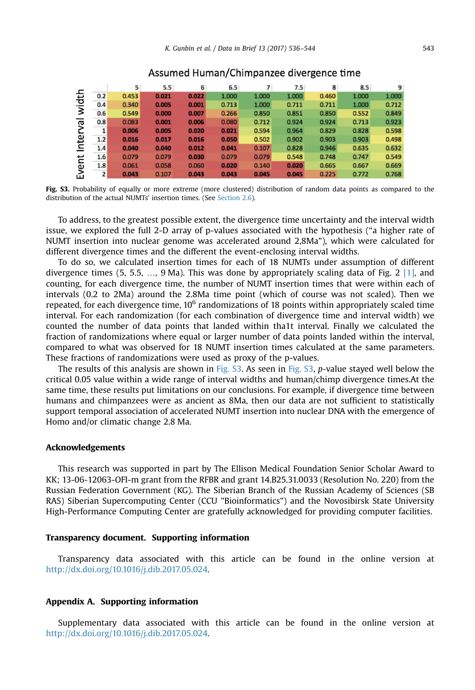<span id="page-7-0"></span>

| ᅩ<br>widtl<br>ā<br>Inte<br>Ë<br>g<br>ŴЧ |     | 5     | 5.5   | 6     | 6.5   |       | 7.5   | 8     | 8.5   | 9     |
|-----------------------------------------|-----|-------|-------|-------|-------|-------|-------|-------|-------|-------|
|                                         | 0.2 | 0.453 | 0.021 | 0.022 | 1.000 | 1.000 | 1.000 | 0.460 | 1.000 | 1.000 |
|                                         | 0.4 | 0.340 | 0.005 | 0.001 | 0.713 | 1.000 | 0.711 | 0.711 | 1.000 | 0.712 |
|                                         | 0.6 | 0.549 | 0.000 | 0.007 | 0.266 | 0.850 | 0.851 | 0.850 | 0.552 | 0.849 |
|                                         | 0.8 | 0.083 | 0.001 | 0.006 | 0.080 | 0.712 | 0.924 | 0.924 | 0.713 | 0.923 |
|                                         | 1   | 0.006 | 0.005 | 0.020 | 0.021 | 0.594 | 0.964 | 0.829 | 0.828 | 0.598 |
|                                         | 1.2 | 0.016 | 0.017 | 0.016 | 0.050 | 0.502 | 0.902 | 0.903 | 0.903 | 0.498 |
|                                         | 1.4 | 0.040 | 0.040 | 0.012 | 0.041 | 0.107 | 0.828 | 0.946 | 0.635 | 0.632 |
|                                         | 1.6 | 0.079 | 0.079 | 0.030 | 0.079 | 0.079 | 0.548 | 0.748 | 0.747 | 0.549 |
|                                         | 1.8 | 0.061 | 0.058 | 0.060 | 0.020 | 0.140 | 0.020 | 0.665 | 0.667 | 0.669 |
|                                         | 2   | 0.043 | 0.107 | 0.043 | 0.043 | 0.045 | 0.045 | 0.225 | 0.772 | 0.768 |

# Assumed Human/Chimpanzee divergence time

Fig. S3. Probability of equally or more extreme (more clustered) distribution of random data points as compared to the distribution of the actual NUMTs' insertion times. (See [Section 2.6\)](#page-6-0).

To address, to the greatest possible extent, the divergence time uncertainty and the interval width issue, we explored the full 2-D array of p-values associated with the hypothesis ("a higher rate of NUMT insertion into nuclear genome was accelerated around 2,8Ma"), which were calculated for different divergence times and the different the event-enclosing interval widths.

To do so, we calculated insertion times for each of 18 NUMTs under assumption of different divergence times (5, 5.5,  $\dots$ , 9 Ma). This was done by appropriately scaling data of Fig. 2 [\[1\]](#page-8-0), and counting, for each divergence time, the number of NUMT insertion times that were within each of intervals (0.2 to 2Ma) around the 2.8Ma time point (which of course was not scaled). Then we repeated, for each divergence time,  $10^6$  randomizations of 18 points within appropriately scaled time interval. For each randomization (for each combination of divergence time and interval width) we counted the number of data points that landed within tha1t interval. Finally we calculated the fraction of randomizations where equal or larger number of data points landed within the interval, compared to what was observed for 18 NUMT insertion times calculated at the same parameters. These fractions of randomizations were used as proxy of the p-values.

The results of this analysis are shown in Fig. S3. As seen in Fig. S3, p-value stayed well below the critical 0.05 value within a wide range of interval widths and human/chimp divergence times.At the same time, these results put limitations on our conclusions. For example, if divergence time between humans and chimpanzees were as ancient as 8Ma, then our data are not sufficient to statistically support temporal association of accelerated NUMT insertion into nuclear DNA with the emergence of Homo and/or climatic change 2.8 Ma.

#### Acknowledgements

This research was supported in part by The Ellison Medical Foundation Senior Scholar Award to KK; 13-06-12063-OFI-m grant from the RFBR and grant 14.B25.31.0033 (Resolution No. 220) from the Russian Federation Government (KG). The Siberian Branch of the Russian Academy of Sciences (SB RAS) Siberian Supercomputing Center (CCU "Bioinformatics") and the Novosibirsk State University High-Performance Computing Center are gratefully acknowledged for providing computer facilities.

#### Transparency document. Supporting information

Transparency data associated with this article can be found in the online version at [http://dx.doi.org/10.1016/j.dib.2017.05.024](dx.doi.org/http://dx.doi.org/10.1016/j.dib.2017.05.024).

#### Appendix A. Supporting information

Supplementary data associated with this article can be found in the online version at [http://dx.doi.org/10.1016/j.dib.2017.05.024](dx.doi.org/http://dx.doi.org/10.1016/j.dib.2017.05.024).